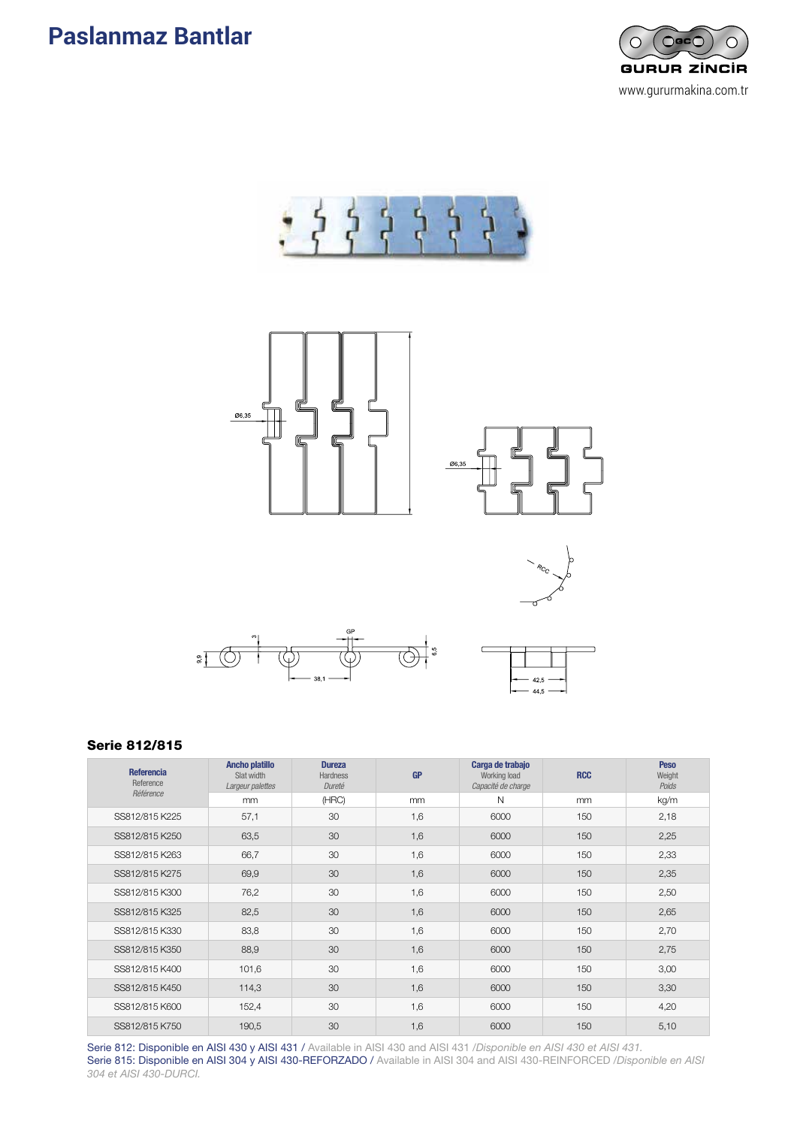













#### Serie 812/815

| <b>Referencia</b><br>Reference | <b>Ancho platillo</b><br>Slat width<br>Largeur palettes | <b>Dureza</b><br><b>Hardness</b><br>Dureté | <b>GP</b> | Carga de trabajo<br>Working load<br>Capacité de charge | <b>RCC</b> | <b>Peso</b><br>Weight<br>Poids |
|--------------------------------|---------------------------------------------------------|--------------------------------------------|-----------|--------------------------------------------------------|------------|--------------------------------|
| Référence                      | mm                                                      | (HRC)                                      | mm        | N                                                      | mm         | kg/m                           |
| SS812/815 K225                 | 57,1                                                    | 30                                         | 1,6       | 6000                                                   | 150        | 2,18                           |
| SS812/815 K250                 | 63,5                                                    | 30                                         | 1,6       | 6000                                                   | 150        | 2,25                           |
| SS812/815 K263                 | 66,7                                                    | 30                                         | 1,6       | 6000                                                   | 150        | 2,33                           |
| SS812/815 K275                 | 69,9                                                    | 30                                         | 1,6       | 6000                                                   | 150        | 2,35                           |
| SS812/815 K300                 | 76,2                                                    | 30                                         | 1,6       | 6000                                                   | 150        | 2,50                           |
| SS812/815 K325                 | 82,5                                                    | 30                                         | 1,6       | 6000                                                   | 150        | 2,65                           |
| SS812/815 K330                 | 83,8                                                    | 30                                         | 1,6       | 6000                                                   | 150        | 2,70                           |
| SS812/815 K350                 | 88,9                                                    | 30                                         | 1,6       | 6000                                                   | 150        | 2,75                           |
| SS812/815 K400                 | 101,6                                                   | 30                                         | 1,6       | 6000                                                   | 150        | 3,00                           |
| SS812/815 K450                 | 114,3                                                   | 30                                         | 1,6       | 6000                                                   | 150        | 3,30                           |
| SS812/815 K600                 | 152,4                                                   | 30                                         | 1,6       | 6000                                                   | 150        | 4,20                           |
| SS812/815 K750                 | 190,5                                                   | 30 <sup>2</sup>                            | 1,6       | 6000                                                   | 150        | 5,10                           |

Serie 812: Disponible en AISI 430 y AISI 431 / Available in AISI 430 and AISI 431 /*Disponible en AISI 430 et AISI 431.* Serie 815: Disponible en AISI 304 y AISI 430-REFORZADO / Available in AISI 304 and AISI 430-REINFORCED /*Disponible en AISI 304 et AISI 430-DURCI.*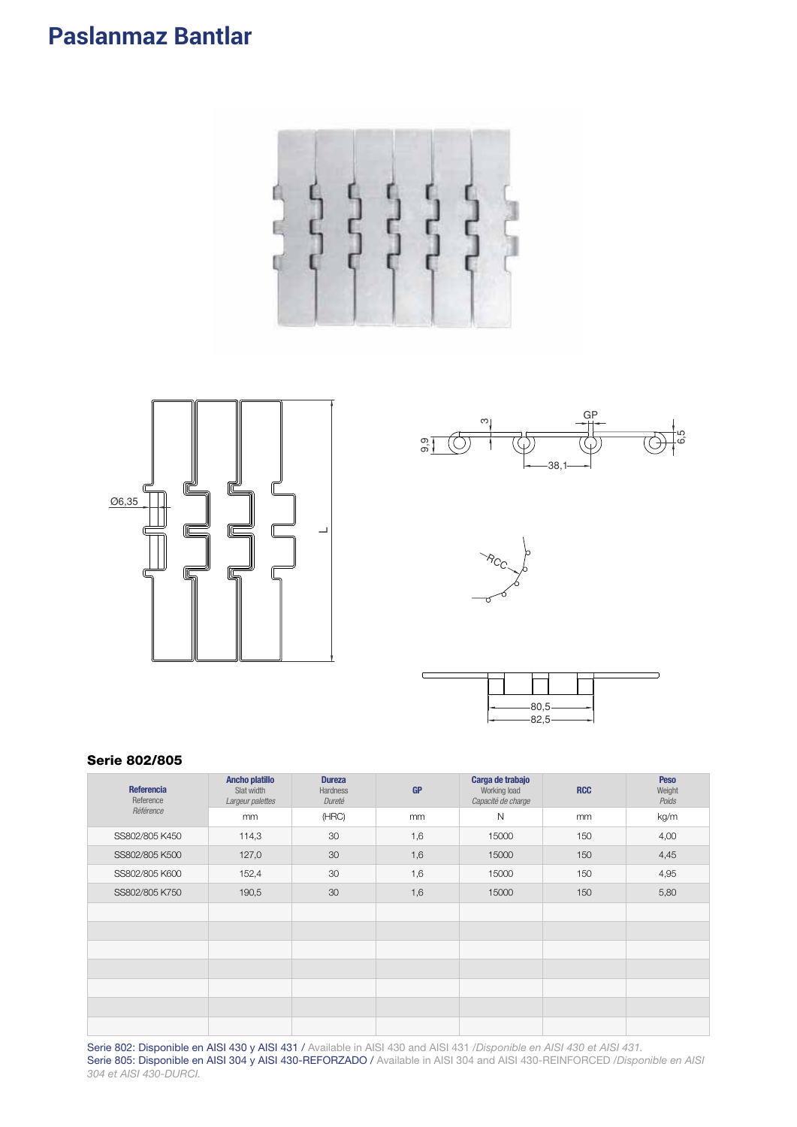







|  | $-80,5-82,5-$ |  |  |
|--|---------------|--|--|

#### **Serie 802/805**

| Referencia<br>Reference | <b>Ancho platillo</b><br>Slat width<br>Largeur palettes | <b>Dureza</b><br>Hardness<br>Dureté | <b>GP</b> | Carga de trabajo<br>Working load<br>Capacité de charge | <b>RCC</b> | <b>Peso</b><br>Weight<br>Poids |
|-------------------------|---------------------------------------------------------|-------------------------------------|-----------|--------------------------------------------------------|------------|--------------------------------|
| Référence               | mm                                                      | (HRC)                               | mm        | $\mathsf{N}$                                           | mm         | kg/m                           |
| SS802/805 K450          | 114,3                                                   | 30                                  | 1,6       | 15000                                                  | 150        | 4,00                           |
| SS802/805 K500          | 127,0                                                   | 30                                  | 1,6       | 15000                                                  | 150        | 4,45                           |
| SS802/805 K600          | 152,4                                                   | 30                                  | 1,6       | 15000                                                  | 150        | 4,95                           |
| SS802/805 K750          | 190,5                                                   | 30                                  | 1,6       | 15000                                                  | 150        | 5,80                           |
|                         |                                                         |                                     |           |                                                        |            |                                |
|                         |                                                         |                                     |           |                                                        |            |                                |
|                         |                                                         |                                     |           |                                                        |            |                                |
|                         |                                                         |                                     |           |                                                        |            |                                |
|                         |                                                         |                                     |           |                                                        |            |                                |
|                         |                                                         |                                     |           |                                                        |            |                                |
|                         |                                                         |                                     |           |                                                        |            |                                |

Serie 802: Disponible en AISI 430 y AISI 431 / Available in AISI 430 and AISI 431 / Disponible en AISI 430 et AISI 431. Serie 805: Disponible en AISI 304 y AISI 430-REFORZADO / Available in AISI 304 and AISI 430-REINFORCED /Disponible en AISI 304 et AISI 430-DURCI.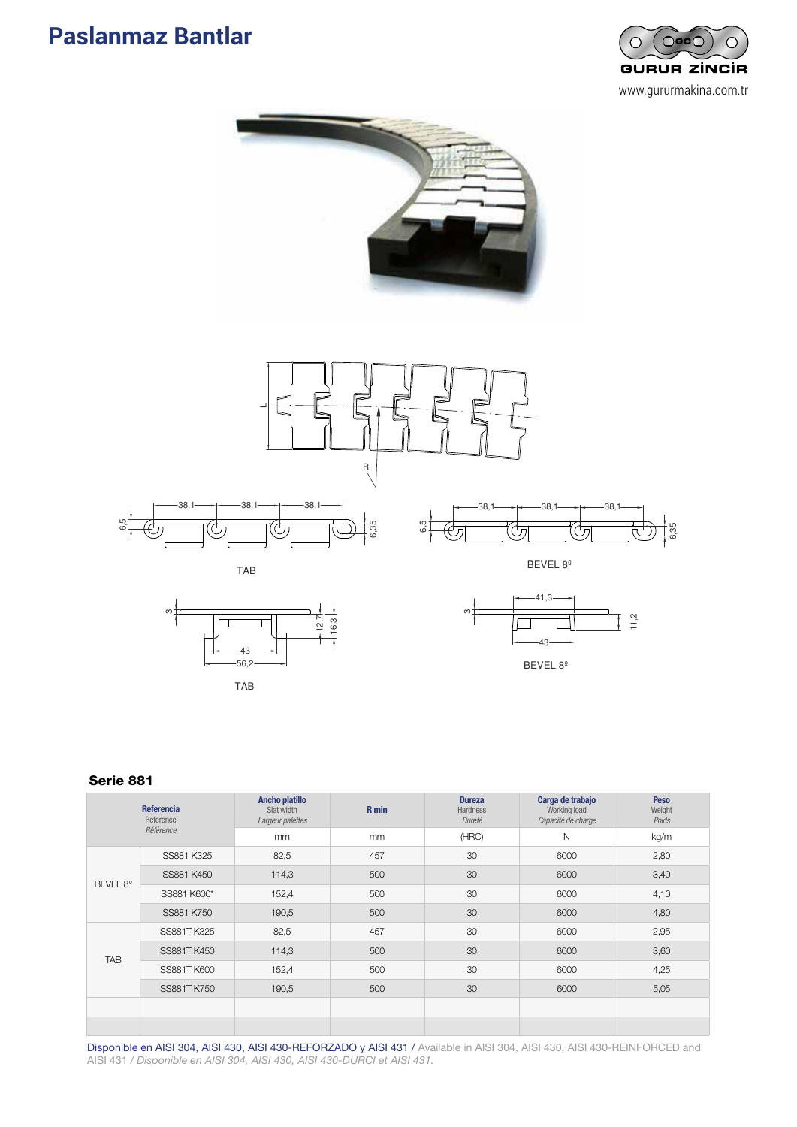







BEVEL 8º

### Serie 881

6,5 6,5

| <b>Referencia</b><br>Reference<br>Référence |             | Ancho platillo<br>Slat width<br>Largeur palettes | R min | <b>Dureza</b><br><b>Hardness</b><br>Dureté | Carga de trabajo<br>Working load<br>Capacité de charge | <b>Peso</b><br>Weight<br>Poids |
|---------------------------------------------|-------------|--------------------------------------------------|-------|--------------------------------------------|--------------------------------------------------------|--------------------------------|
|                                             |             | mm                                               | mm    | (HRC)                                      | $\mathsf{N}$                                           | kg/m                           |
| BEVEL 8°                                    | SS881 K325  | 82,5                                             | 457   | 30                                         | 6000                                                   | 2,80                           |
|                                             | SS881 K450  | 114,3                                            | 500   | 30                                         | 6000                                                   | 3,40                           |
|                                             | SS881 K600* | 152,4                                            | 500   | 30                                         | 6000                                                   | 4,10                           |
|                                             | SS881 K750  | 190,5                                            | 500   | 30                                         | 6000                                                   | 4,80                           |
| <b>TAB</b>                                  | SS881T K325 | 82,5                                             | 457   | 30                                         | 6000                                                   | 2,95                           |
|                                             | SS881T K450 | 114,3                                            | 500   | 30                                         | 6000                                                   | 3,60                           |
|                                             | SS881T K600 | 152,4                                            | 500   | 30                                         | 6000                                                   | 4,25                           |
|                                             | SS881T K750 | 190,5                                            | 500   | 30                                         | 6000                                                   | 5,05                           |
|                                             |             |                                                  |       |                                            |                                                        |                                |
|                                             |             |                                                  |       |                                            |                                                        |                                |

Disponible en AISI 304, AISI 430, AISI 430-REFORZADO y AISI 431 / Available in AISI 304, AISI 430, AISI 430-REINFORCED and AISI 431 / *Disponible en AISI 304, AISI 430, AISI 430-DURCI et AISI 431.*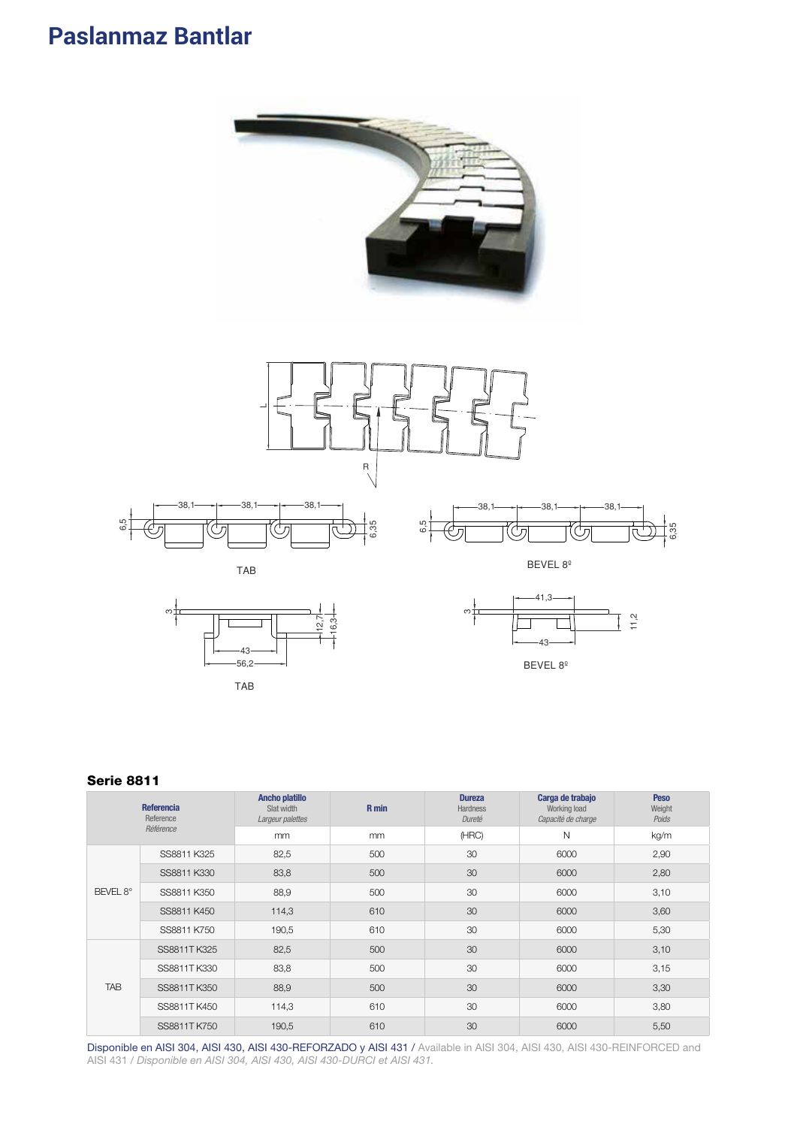





BEVEL 8º

### Serie 8811

| <b>Referencia</b><br>Reference<br>Référence |              | Ancho platillo<br>Slat width<br>Largeur palettes | R min | <b>Dureza</b><br><b>Hardness</b><br>Dureté | Carga de trabajo<br>Working load<br>Capacité de charge | <b>Peso</b><br>Weight<br>Poids |
|---------------------------------------------|--------------|--------------------------------------------------|-------|--------------------------------------------|--------------------------------------------------------|--------------------------------|
|                                             |              | mm                                               | mm    | (HRC)                                      | N                                                      | kg/m                           |
|                                             | SS8811 K325  | 82,5                                             | 500   | 30                                         | 6000                                                   | 2,90                           |
| BEVEL 8°                                    | SS8811 K330  | 83,8                                             | 500   | 30                                         | 6000                                                   | 2,80                           |
|                                             | SS8811 K350  | 88,9                                             | 500   | 30                                         | 6000                                                   | 3,10                           |
|                                             | SS8811 K450  | 114,3                                            | 610   | 30                                         | 6000                                                   | 3,60                           |
|                                             | SS8811 K750  | 190,5                                            | 610   | 30                                         | 6000                                                   | 5,30                           |
|                                             | SS8811TK325  | 82,5                                             | 500   | 30                                         | 6000                                                   | 3,10                           |
| <b>TAB</b>                                  | SS8811T K330 | 83,8                                             | 500   | 30                                         | 6000                                                   | 3,15                           |
|                                             | SS8811T K350 | 88,9                                             | 500   | 30                                         | 6000                                                   | 3,30                           |
|                                             | SS8811T K450 | 114,3                                            | 610   | 30                                         | 6000                                                   | 3,80                           |
|                                             | SS8811TK750  | 190,5                                            | 610   | 30                                         | 6000                                                   | 5,50                           |

Disponible en AISI 304, AISI 430, AISI 430-REFORZADO y AISI 431 / Available in AISI 304, AISI 430, AISI 430-REINFORCED and AISI 431 / *Disponible en AISI 304, AISI 430, AISI 430-DURCI et AISI 431.*